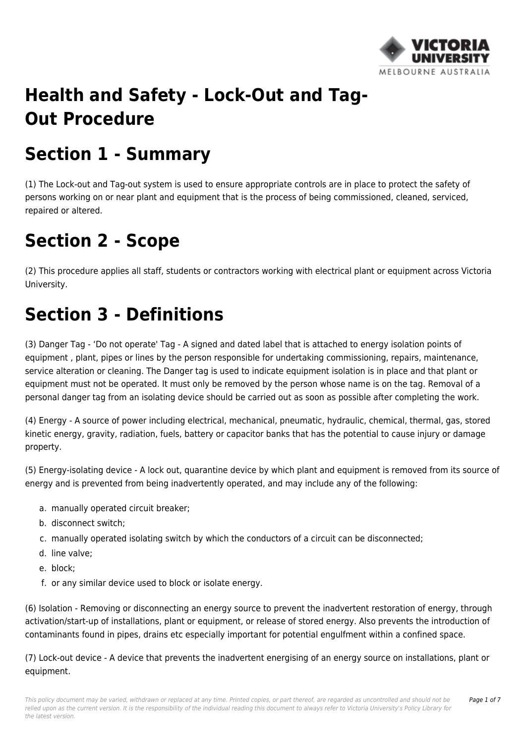

# **Health and Safety - Lock-Out and Tag-Out Procedure**

# **Section 1 - Summary**

(1) The Lock-out and Tag-out system is used to ensure appropriate controls are in place to protect the safety of persons working on or near plant and equipment that is the process of being commissioned, cleaned, serviced, repaired or altered.

### **Section 2 - Scope**

(2) This procedure applies all staff, students or contractors working with electrical plant or equipment across Victoria University.

## **Section 3 - Definitions**

(3) Danger Tag - 'Do not operate' Tag - A signed and dated label that is attached to energy isolation points of equipment , plant, pipes or lines by the person responsible for undertaking commissioning, repairs, maintenance, service alteration or cleaning. The Danger tag is used to indicate equipment isolation is in place and that plant or equipment must not be operated. It must only be removed by the person whose name is on the tag. Removal of a personal danger tag from an isolating device should be carried out as soon as possible after completing the work.

(4) Energy - A source of power including electrical, mechanical, pneumatic, hydraulic, chemical, thermal, gas, stored kinetic energy, gravity, radiation, fuels, battery or capacitor banks that has the potential to cause injury or damage property.

(5) Energy-isolating device - A lock out, quarantine device by which plant and equipment is removed from its source of energy and is prevented from being inadvertently operated, and may include any of the following:

- a. manually operated circuit breaker;
- b. disconnect switch;
- c. manually operated isolating switch by which the conductors of a circuit can be disconnected;
- d. line valve;
- e. block;
- f. or any similar device used to block or isolate energy.

(6) Isolation - Removing or disconnecting an energy source to prevent the inadvertent restoration of energy, through activation/start-up of installations, plant or equipment, or release of stored energy. Also prevents the introduction of contaminants found in pipes, drains etc especially important for potential engulfment within a confined space.

(7) Lock-out device - A device that prevents the inadvertent energising of an energy source on installations, plant or equipment.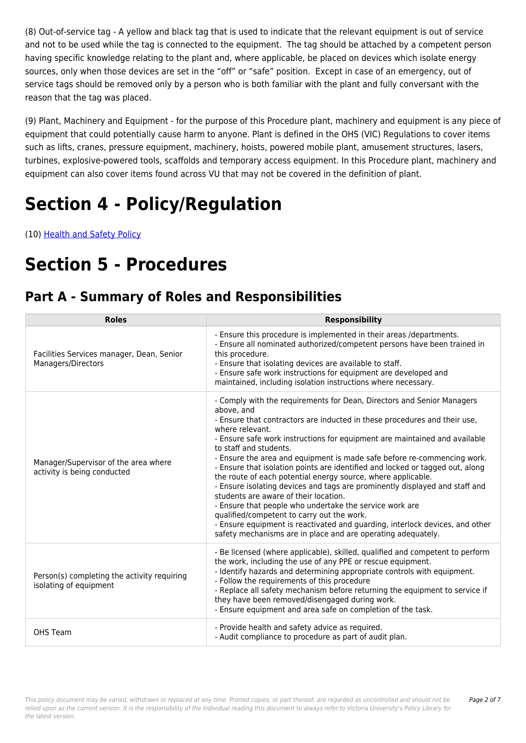(8) Out-of-service tag - A yellow and black tag that is used to indicate that the relevant equipment is out of service and not to be used while the tag is connected to the equipment. The tag should be attached by a competent person having specific knowledge relating to the plant and, where applicable, be placed on devices which isolate energy sources, only when those devices are set in the "off" or "safe" position. Except in case of an emergency, out of service tags should be removed only by a person who is both familiar with the plant and fully conversant with the reason that the tag was placed.

(9) Plant, Machinery and Equipment - for the purpose of this Procedure plant, machinery and equipment is any piece of equipment that could potentially cause harm to anyone. Plant is defined in the OHS (VIC) Regulations to cover items such as lifts, cranes, pressure equipment, machinery, hoists, powered mobile plant, amusement structures, lasers, turbines, explosive-powered tools, scaffolds and temporary access equipment. In this Procedure plant, machinery and equipment can also cover items found across VU that may not be covered in the definition of plant.

# **Section 4 - Policy/Regulation**

(10) [Health and Safety Policy](https://policy.vu.edu.au/document/view.php?id=115)

## **Section 5 - Procedures**

### **Part A - Summary of Roles and Responsibilities**

| <b>Roles</b>                                                          | <b>Responsibility</b>                                                                                                                                                                                                                                                                                                                                                                                                                                                                                                                                                                                                                                                                                                                                                                                                                                                                                     |
|-----------------------------------------------------------------------|-----------------------------------------------------------------------------------------------------------------------------------------------------------------------------------------------------------------------------------------------------------------------------------------------------------------------------------------------------------------------------------------------------------------------------------------------------------------------------------------------------------------------------------------------------------------------------------------------------------------------------------------------------------------------------------------------------------------------------------------------------------------------------------------------------------------------------------------------------------------------------------------------------------|
| Facilities Services manager, Dean, Senior<br>Managers/Directors       | - Ensure this procedure is implemented in their areas /departments.<br>- Ensure all nominated authorized/competent persons have been trained in<br>this procedure.<br>- Ensure that isolating devices are available to staff.<br>- Ensure safe work instructions for equipment are developed and<br>maintained, including isolation instructions where necessary.                                                                                                                                                                                                                                                                                                                                                                                                                                                                                                                                         |
| Manager/Supervisor of the area where<br>activity is being conducted   | - Comply with the requirements for Dean, Directors and Senior Managers<br>above, and<br>- Ensure that contractors are inducted in these procedures and their use,<br>where relevant.<br>- Ensure safe work instructions for equipment are maintained and available<br>to staff and students.<br>- Ensure the area and equipment is made safe before re-commencing work.<br>- Ensure that isolation points are identified and locked or tagged out, along<br>the route of each potential energy source, where applicable.<br>- Ensure isolating devices and tags are prominently displayed and staff and<br>students are aware of their location.<br>- Ensure that people who undertake the service work are<br>qualified/competent to carry out the work.<br>- Ensure equipment is reactivated and guarding, interlock devices, and other<br>safety mechanisms are in place and are operating adequately. |
| Person(s) completing the activity requiring<br>isolating of equipment | - Be licensed (where applicable), skilled, qualified and competent to perform<br>the work, including the use of any PPE or rescue equipment.<br>- Identify hazards and determining appropriate controls with equipment.<br>- Follow the requirements of this procedure<br>- Replace all safety mechanism before returning the equipment to service if<br>they have been removed/disengaged during work.<br>- Ensure equipment and area safe on completion of the task.                                                                                                                                                                                                                                                                                                                                                                                                                                    |
| OHS Team                                                              | - Provide health and safety advice as required.<br>- Audit compliance to procedure as part of audit plan.                                                                                                                                                                                                                                                                                                                                                                                                                                                                                                                                                                                                                                                                                                                                                                                                 |

This policy document may be varied, withdrawn or replaced at any time. Printed copies, or part thereof, are regarded as uncontrolled and should not be relied upon as the current version. It is the responsibility of the individual reading this document to always refer to Victoria University's Policy Library for the latest version.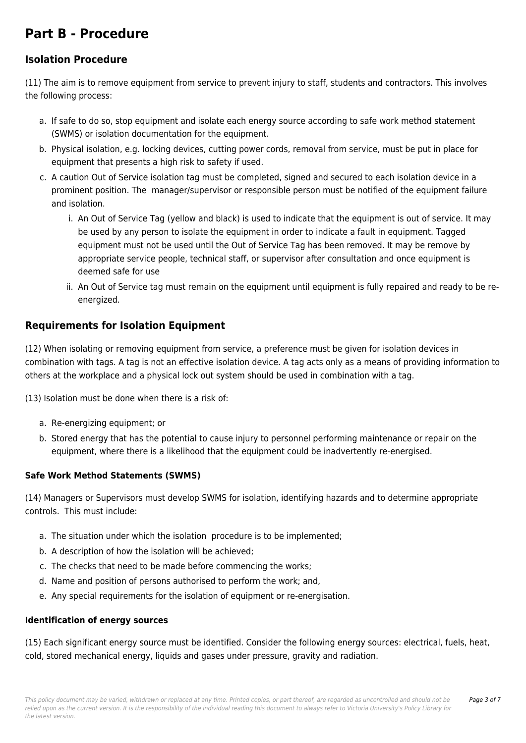### **Part B - Procedure**

### **Isolation Procedure**

(11) The aim is to remove equipment from service to prevent injury to staff, students and contractors. This involves the following process:

- a. If safe to do so, stop equipment and isolate each energy source according to safe work method statement (SWMS) or isolation documentation for the equipment.
- b. Physical isolation, e.g. locking devices, cutting power cords, removal from service, must be put in place for equipment that presents a high risk to safety if used.
- c. A caution Out of Service isolation tag must be completed, signed and secured to each isolation device in a prominent position. The manager/supervisor or responsible person must be notified of the equipment failure and isolation.
	- i. An Out of Service Tag (yellow and black) is used to indicate that the equipment is out of service. It may be used by any person to isolate the equipment in order to indicate a fault in equipment. Tagged equipment must not be used until the Out of Service Tag has been removed. It may be remove by appropriate service people, technical staff, or supervisor after consultation and once equipment is deemed safe for use
	- ii. An Out of Service tag must remain on the equipment until equipment is fully repaired and ready to be reenergized.

### **Requirements for Isolation Equipment**

(12) When isolating or removing equipment from service, a preference must be given for isolation devices in combination with tags. A tag is not an effective isolation device. A tag acts only as a means of providing information to others at the workplace and a physical lock out system should be used in combination with a tag.

(13) Isolation must be done when there is a risk of:

- a. Re-energizing equipment; or
- b. Stored energy that has the potential to cause injury to personnel performing maintenance or repair on the equipment, where there is a likelihood that the equipment could be inadvertently re-energised.

#### **Safe Work Method Statements (SWMS)**

(14) Managers or Supervisors must develop SWMS for isolation, identifying hazards and to determine appropriate controls. This must include:

- a. The situation under which the isolation procedure is to be implemented;
- b. A description of how the isolation will be achieved;
- c. The checks that need to be made before commencing the works;
- d. Name and position of persons authorised to perform the work; and,
- e. Any special requirements for the isolation of equipment or re-energisation.

#### **Identification of energy sources**

(15) Each significant energy source must be identified. Consider the following energy sources: electrical, fuels, heat, cold, stored mechanical energy, liquids and gases under pressure, gravity and radiation.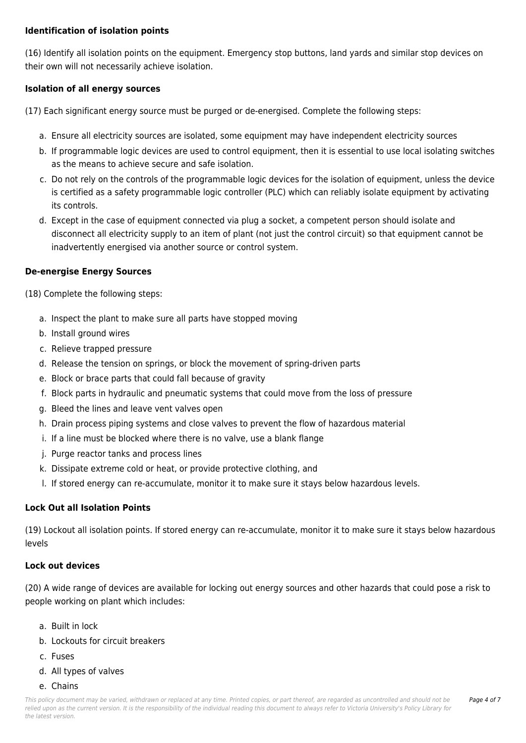#### **Identification of isolation points**

(16) Identify all isolation points on the equipment. Emergency stop buttons, land yards and similar stop devices on their own will not necessarily achieve isolation.

#### **Isolation of all energy sources**

(17) Each significant energy source must be purged or de-energised. Complete the following steps:

- a. Ensure all electricity sources are isolated, some equipment may have independent electricity sources
- b. If programmable logic devices are used to control equipment, then it is essential to use local isolating switches as the means to achieve secure and safe isolation.
- c. Do not rely on the controls of the programmable logic devices for the isolation of equipment, unless the device is certified as a safety programmable logic controller (PLC) which can reliably isolate equipment by activating its controls.
- d. Except in the case of equipment connected via plug a socket, a competent person should isolate and disconnect all electricity supply to an item of plant (not just the control circuit) so that equipment cannot be inadvertently energised via another source or control system.

#### **De-energise Energy Sources**

(18) Complete the following steps:

- a. Inspect the plant to make sure all parts have stopped moving
- b. Install ground wires
- c. Relieve trapped pressure
- d. Release the tension on springs, or block the movement of spring-driven parts
- e. Block or brace parts that could fall because of gravity
- f. Block parts in hydraulic and pneumatic systems that could move from the loss of pressure
- g. Bleed the lines and leave vent valves open
- h. Drain process piping systems and close valves to prevent the flow of hazardous material
- i. If a line must be blocked where there is no valve, use a blank flange
- j. Purge reactor tanks and process lines
- k. Dissipate extreme cold or heat, or provide protective clothing, and
- l. If stored energy can re-accumulate, monitor it to make sure it stays below hazardous levels.

#### **Lock Out all Isolation Points**

(19) Lockout all isolation points. If stored energy can re-accumulate, monitor it to make sure it stays below hazardous levels

#### **Lock out devices**

(20) A wide range of devices are available for locking out energy sources and other hazards that could pose a risk to people working on plant which includes:

- a. Built in lock
- b. Lockouts for circuit breakers
- c. Fuses
- d. All types of valves
- e. Chains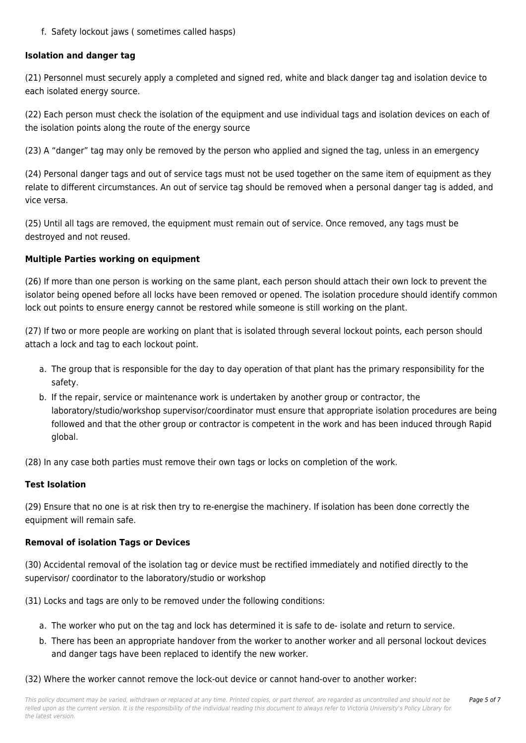f. Safety lockout jaws ( sometimes called hasps)

#### **Isolation and danger tag**

(21) Personnel must securely apply a completed and signed red, white and black danger tag and isolation device to each isolated energy source.

(22) Each person must check the isolation of the equipment and use individual tags and isolation devices on each of the isolation points along the route of the energy source

(23) A "danger" tag may only be removed by the person who applied and signed the tag, unless in an emergency

(24) Personal danger tags and out of service tags must not be used together on the same item of equipment as they relate to different circumstances. An out of service tag should be removed when a personal danger tag is added, and vice versa.

(25) Until all tags are removed, the equipment must remain out of service. Once removed, any tags must be destroyed and not reused.

#### **Multiple Parties working on equipment**

(26) If more than one person is working on the same plant, each person should attach their own lock to prevent the isolator being opened before all locks have been removed or opened. The isolation procedure should identify common lock out points to ensure energy cannot be restored while someone is still working on the plant.

(27) If two or more people are working on plant that is isolated through several lockout points, each person should attach a lock and tag to each lockout point.

- a. The group that is responsible for the day to day operation of that plant has the primary responsibility for the safety.
- b. If the repair, service or maintenance work is undertaken by another group or contractor, the laboratory/studio/workshop supervisor/coordinator must ensure that appropriate isolation procedures are being followed and that the other group or contractor is competent in the work and has been induced through Rapid global.

(28) In any case both parties must remove their own tags or locks on completion of the work.

#### **Test Isolation**

(29) Ensure that no one is at risk then try to re-energise the machinery. If isolation has been done correctly the equipment will remain safe.

#### **Removal of isolation Tags or Devices**

(30) Accidental removal of the isolation tag or device must be rectified immediately and notified directly to the supervisor/ coordinator to the laboratory/studio or workshop

(31) Locks and tags are only to be removed under the following conditions:

- a. The worker who put on the tag and lock has determined it is safe to de- isolate and return to service.
- b. There has been an appropriate handover from the worker to another worker and all personal lockout devices and danger tags have been replaced to identify the new worker.

(32) Where the worker cannot remove the lock-out device or cannot hand-over to another worker: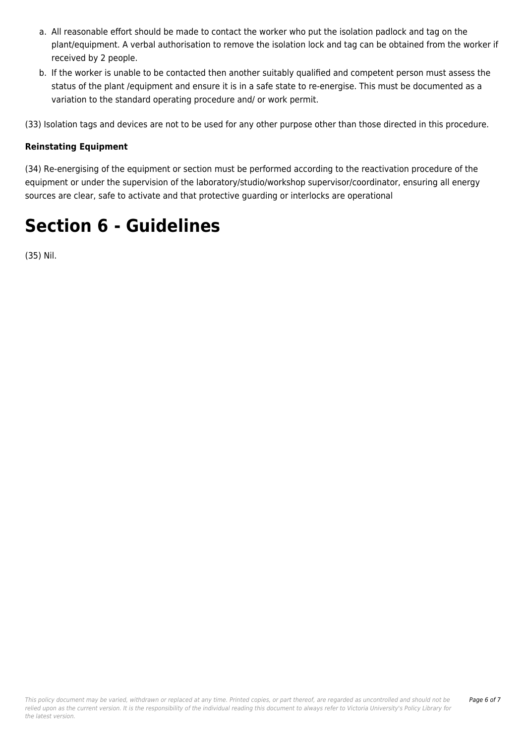- a. All reasonable effort should be made to contact the worker who put the isolation padlock and tag on the plant/equipment. A verbal authorisation to remove the isolation lock and tag can be obtained from the worker if received by 2 people.
- b. If the worker is unable to be contacted then another suitably qualified and competent person must assess the status of the plant /equipment and ensure it is in a safe state to re-energise. This must be documented as a variation to the standard operating procedure and/ or work permit.

(33) Isolation tags and devices are not to be used for any other purpose other than those directed in this procedure.

#### **Reinstating Equipment**

(34) Re-energising of the equipment or section must be performed according to the reactivation procedure of the equipment or under the supervision of the laboratory/studio/workshop supervisor/coordinator, ensuring all energy sources are clear, safe to activate and that protective guarding or interlocks are operational

### **Section 6 - Guidelines**

(35) Nil.